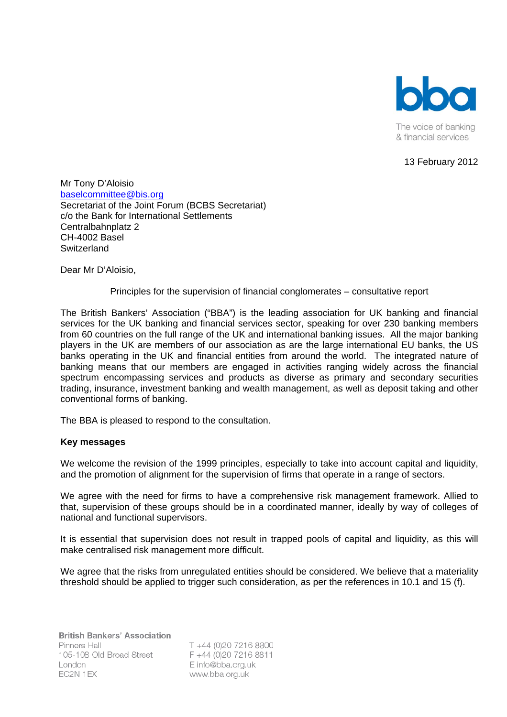

13 February 2012

Mr Tony D'Aloisio [baselcommittee@bis.org](mailto:baselcommittee@bis.org) Secretariat of the Joint Forum (BCBS Secretariat) c/o the Bank for International Settlements Centralbahnplatz 2 CH-4002 Basel **Switzerland** 

Dear Mr D'Aloisio,

Principles for the supervision of financial conglomerates – consultative report

The British Bankers' Association ("BBA") is the leading association for UK banking and financial services for the UK banking and financial services sector, speaking for over 230 banking members from 60 countries on the full range of the UK and international banking issues. All the major banking players in the UK are members of our association as are the large international EU banks, the US banks operating in the UK and financial entities from around the world. The integrated nature of banking means that our members are engaged in activities ranging widely across the financial spectrum encompassing services and products as diverse as primary and secondary securities trading, insurance, investment banking and wealth management, as well as deposit taking and other conventional forms of banking.

The BBA is pleased to respond to the consultation.

# **Key messages**

We welcome the revision of the 1999 principles, especially to take into account capital and liquidity, and the promotion of alignment for the supervision of firms that operate in a range of sectors.

We agree with the need for firms to have a comprehensive risk management framework. Allied to that, supervision of these groups should be in a coordinated manner, ideally by way of colleges of national and functional supervisors.

It is essential that supervision does not result in trapped pools of capital and liquidity, as this will make centralised risk management more difficult.

We agree that the risks from unregulated entities should be considered. We believe that a materiality threshold should be applied to trigger such consideration, as per the references in 10.1 and 15 (f).

T +44 (0)20 7216 8800 F +44 (0)20 7216 8811 E info@bba.org.uk www.bba.org.uk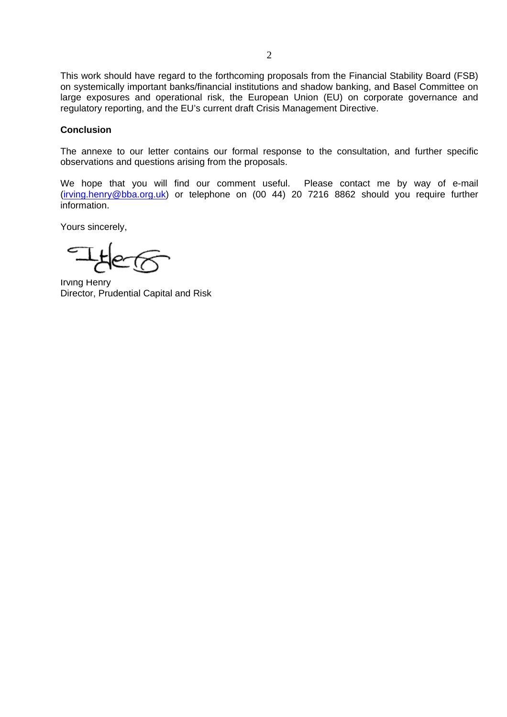This work should have regard to the forthcoming proposals from the Financial Stability Board (FSB) on systemically important banks/financial institutions and shadow banking, and Basel Committee on large exposures and operational risk, the European Union (EU) on corporate governance and regulatory reporting, and the EU's current draft Crisis Management Directive.

#### **Conclusion**

The annexe to our letter contains our formal response to the consultation, and further specific observations and questions arising from the proposals.

We hope that you will find our comment useful. Please contact me by way of e-mail ([irving.henry@bba.org.uk\)](mailto:irving.henry@bba.org.uk) or telephone on (00 44) 20 7216 8862 should you require further information.

Yours sincerely,

Irving Henry Director, Prudential Capital and Risk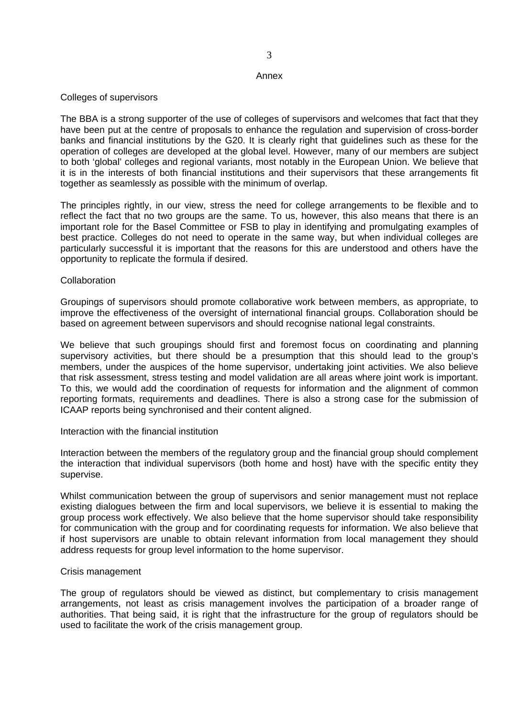#### Annex

# Colleges of supervisors

The BBA is a strong supporter of the use of colleges of supervisors and welcomes that fact that they have been put at the centre of proposals to enhance the regulation and supervision of cross-border banks and financial institutions by the G20. It is clearly right that guidelines such as these for the operation of colleges are developed at the global level. However, many of our members are subject to both 'global' colleges and regional variants, most notably in the European Union. We believe that it is in the interests of both financial institutions and their supervisors that these arrangements fit together as seamlessly as possible with the minimum of overlap.

The principles rightly, in our view, stress the need for college arrangements to be flexible and to reflect the fact that no two groups are the same. To us, however, this also means that there is an important role for the Basel Committee or FSB to play in identifying and promulgating examples of best practice. Colleges do not need to operate in the same way, but when individual colleges are particularly successful it is important that the reasons for this are understood and others have the opportunity to replicate the formula if desired.

## Collaboration

Groupings of supervisors should promote collaborative work between members, as appropriate, to improve the effectiveness of the oversight of international financial groups. Collaboration should be based on agreement between supervisors and should recognise national legal constraints.

We believe that such groupings should first and foremost focus on coordinating and planning supervisory activities, but there should be a presumption that this should lead to the group's members, under the auspices of the home supervisor, undertaking joint activities. We also believe that risk assessment, stress testing and model validation are all areas where joint work is important. To this, we would add the coordination of requests for information and the alignment of common reporting formats, requirements and deadlines. There is also a strong case for the submission of ICAAP reports being synchronised and their content aligned.

# Interaction with the financial institution

Interaction between the members of the regulatory group and the financial group should complement the interaction that individual supervisors (both home and host) have with the specific entity they supervise.

Whilst communication between the group of supervisors and senior management must not replace existing dialogues between the firm and local supervisors, we believe it is essential to making the group process work effectively. We also believe that the home supervisor should take responsibility for communication with the group and for coordinating requests for information. We also believe that if host supervisors are unable to obtain relevant information from local management they should address requests for group level information to the home supervisor.

#### Crisis management

The group of regulators should be viewed as distinct, but complementary to crisis management arrangements, not least as crisis management involves the participation of a broader range of authorities. That being said, it is right that the infrastructure for the group of regulators should be used to facilitate the work of the crisis management group.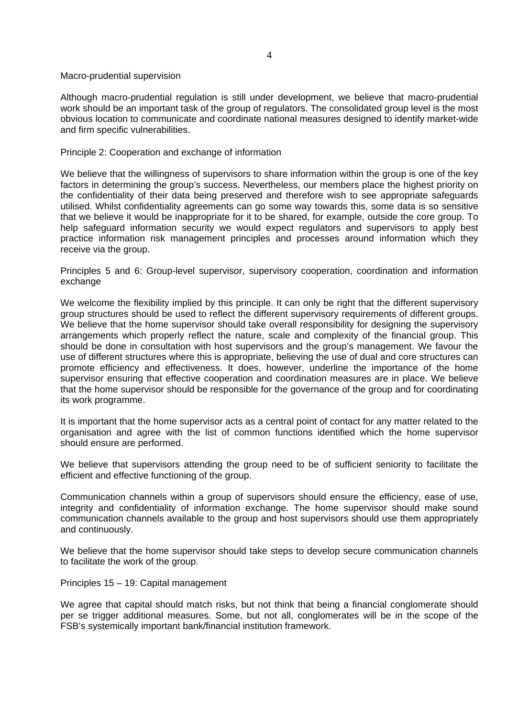#### Macro-prudential supervision

Although macro-prudential regulation is still under development, we believe that macro-prudential work should be an important task of the group of regulators. The consolidated group level is the most obvious location to communicate and coordinate national measures designed to identify market-wide and firm specific vulnerabilities.

# Principle 2: Cooperation and exchange of information

We believe that the willingness of supervisors to share information within the group is one of the key factors in determining the group's success. Nevertheless, our members place the highest priority on the confidentiality of their data being preserved and therefore wish to see appropriate safeguards utilised. Whilst confidentiality agreements can go some way towards this, some data is so sensitive that we believe it would be inappropriate for it to be shared, for example, outside the core group. To help safeguard information security we would expect regulators and supervisors to apply best practice information risk management principles and processes around information which they receive via the group.

Principles 5 and 6: Group-level supervisor, supervisory cooperation, coordination and information exchange

We welcome the flexibility implied by this principle. It can only be right that the different supervisory group structures should be used to reflect the different supervisory requirements of different groups. We believe that the home supervisor should take overall responsibility for designing the supervisory arrangements which properly reflect the nature, scale and complexity of the financial group. This should be done in consultation with host supervisors and the group's management. We favour the use of different structures where this is appropriate, believing the use of dual and core structures can promote efficiency and effectiveness. It does, however, underline the importance of the home supervisor ensuring that effective cooperation and coordination measures are in place. We believe that the home supervisor should be responsible for the governance of the group and for coordinating its work programme.

It is important that the home supervisor acts as a central point of contact for any matter related to the organisation and agree with the list of common functions identified which the home supervisor should ensure are performed.

We believe that supervisors attending the group need to be of sufficient seniority to facilitate the efficient and effective functioning of the group.

Communication channels within a group of supervisors should ensure the efficiency, ease of use, integrity and confidentiality of information exchange. The home supervisor should make sound communication channels available to the group and host supervisors should use them appropriately and continuously.

We believe that the home supervisor should take steps to develop secure communication channels to facilitate the work of the group.

#### Principles 15 – 19: Capital management

We agree that capital should match risks, but not think that being a financial conglomerate should per se trigger additional measures. Some, but not all, conglomerates will be in the scope of the FSB's systemically important bank/financial institution framework.